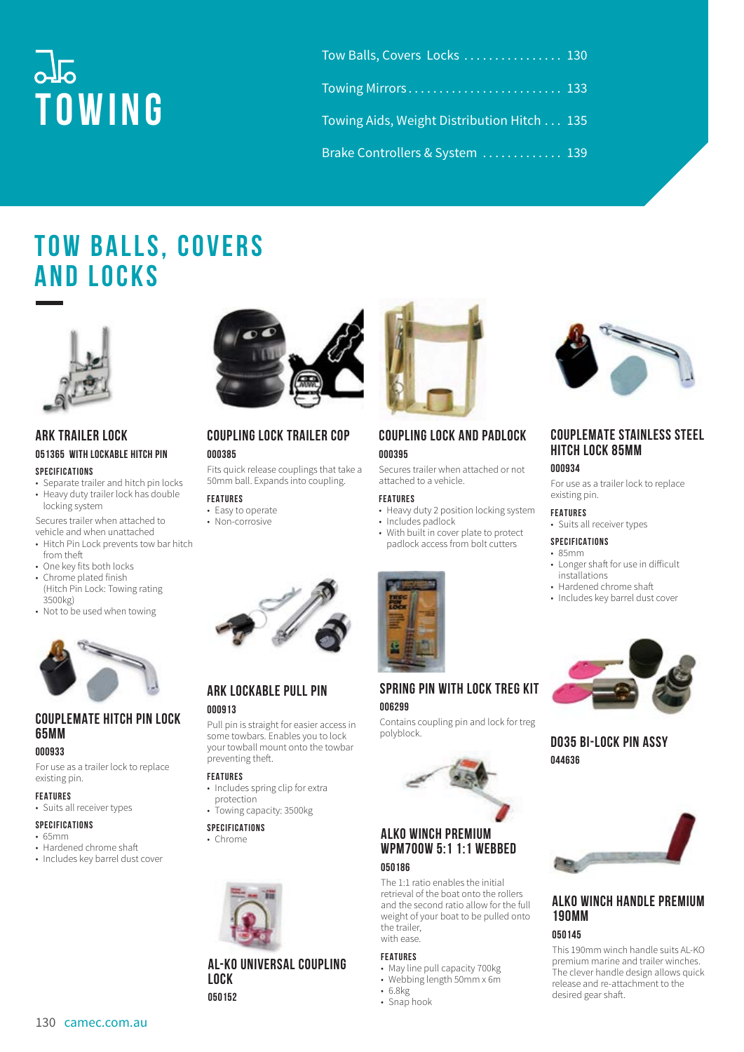# $\overline{\text{d}}\overline{\text{d}}$ **Towing**

| Tow Balls, Covers Locks  130                |  |
|---------------------------------------------|--|
|                                             |  |
| Towing Aids, Weight Distribution Hitch  135 |  |
| Brake Controllers & System  139             |  |

# **TOW BALLS, COVERS and Locks**



### **ARK TRAILER LOCK 051365 WITH LOCKABLE HITCH PIN**

#### **SPECIFICATIONS**

- Separate trailer and hitch pin locks • Heavy duty trailer lock has double
- locking system Secures trailer when attached to
- vehicle and when unattached • Hitch Pin Lock prevents tow bar hitch
- from theft • One key fits both locks
- Chrome plated finish (Hitch Pin Lock: Towing rating 3500kg)
- Not to be used when towing



# **COUPLEMATE HITCH PIN LOCK 65MM**

#### **000933**

For use as a trailer lock to replace existing pin.

# **FEATURES**

- Suits all receiver types **SPECIFICATIONS**
- 65mm
- Hardened chrome shaft
- Includes key barrel dust cover



# **COUPLING LOCK TRAILER COP 000385**

Fits quick release couplings that take a 50mm ball. Expands into coupling.

- **FEATURES**
- Easy to operate
- Non-corrosive



# **COUPLING LOCK AND PADLOCK 000395**

Secures trailer when attached or not attached to a vehicle.

#### **FEATURES**

- Heavy duty 2 position locking system
- Includes padlock
- With built in cover plate to protect padlock access from bolt cutters



#### **SPRING PIN WITH LOCK TREG KIT 006299**

Contains coupling pin and lock for treg polyblock.



#### **ALKO WINCH PREMIUM WPM700W 5:1 1:1 WEBBED 050186**

The 1:1 ratio enables the initial retrieval of the boat onto the rollers and the second ratio allow for the full weight of your boat to be pulled onto the trailer, with ease.

#### **FEATURES**

- May line pull capacity 700kg
- Webbing length 50mm x 6m
- 6.8kg • Snap hook



# **COUPLEMATE STAINLESS STEEL HITCH LOCK 85MM**

#### **000934**

For use as a trailer lock to replace existing pin.

**FEATURES** • Suits all receiver types

#### **SPECIFICATIONS**

#### • 85mm

- Longer shaft for use in difficult installations
- Hardened chrome shaft
- Includes key barrel dust cover



**DO35 BI-LOCK PIN ASSY 044636**



#### **ALKO WINCH HANDLE PREMIUM 190MM 050145**

This 190mm winch handle suits AL-KO premium marine and trailer winches. The clever handle design allows quick release and re-attachment to the desired gear shaft.



# **ARK LOCKABLE PULL PIN**

# **000913**

Pull pin is straight for easier access in some towbars. Enables you to lock your towball mount onto the towbar preventing theft.

# **FEATURES**

- Includes spring clip for extra protection
- Towing capacity: 3500kg
- **SPECIFICATIONS**
- Chrome



#### **AL-KO UNIVERSAL COUPLING LOCK 050152**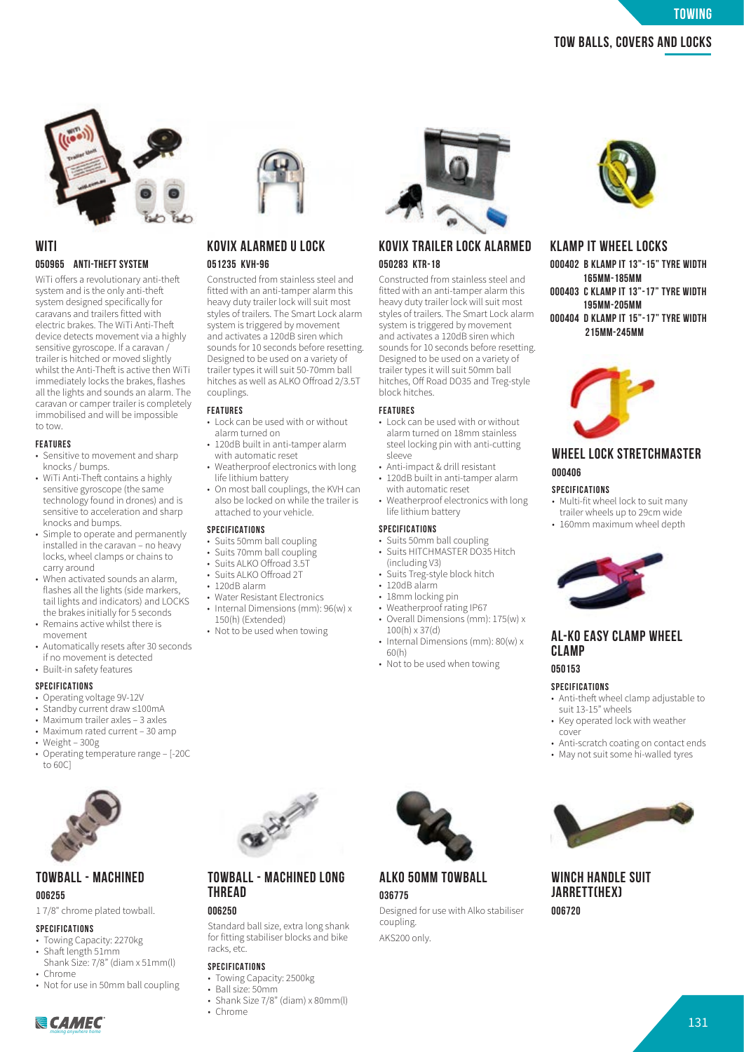**KLAMP IT WHEEL LOCKS**

**000402 B KLAMP IT 13"-15" TYRE WIDTH 165MM-185MM 000403 C KLAMP IT 13"-17" TYRE WIDTH 195MM-205MM 000404 D KLAMP IT 15"-17" TYRE WIDTH 215MM-245MM**

**WHEEL LOCK STRETCHMASTER**

• Multi-fit wheel lock to suit many trailer wheels up to 29cm wide • 160mm maximum wheel depth



# **WITI 050965 ANTI-THEFT SYSTEM**

WiTi offers a revolutionary anti-theft system and is the only anti-theft system designed specifically for caravans and trailers fitted with electric brakes. The WiTi Anti-The device detects movement via a highly sensitive gyroscope. If a caravan / trailer is hitched or moved slightly whilst the Anti-Theft is active then WiTi immediately locks the brakes, flashes all the lights and sounds an alarm. The caravan or camper trailer is completely immobilised and will be impossible to tow.

#### **FEATURES**

- Sensitive to movement and sharp knocks / bumps.
- WiTi Anti-Theft contains a highly sensitive gyroscope (the same technology found in drones) and is sensitive to acceleration and sharp knocks and bumps.
- Simple to operate and permanently installed in the caravan – no heavy locks, wheel clamps or chains to carry around
- When activated sounds an alarm, flashes all the lights (side markers, tail lights and indicators) and LOCKS the brakes initially for 5 seconds
- Remains active whilst there is movement
- Automatically resets after 30 seconds if no movement is detected
- Built-in safety features

#### **SPECIFICATIONS**

- Operating voltage 9V-12V
- Standby current draw ≤100mA
- Maximum trailer axles 3 axles
- Maximum rated current 30 amp
- Weight 300g
- Operating temperature range [-20C to 60C]



#### **TOWBALL - MACHINED 006255**

1 7/8" chrome plated towball.

#### **SPECIFICATIONS**

- Towing Capacity: 2270kg
- $\cdot$  Shaft length 51mm Shank Size: 7/8" (diam x 51mm(l)
- Chrome
- Not for use in 50mm ball coupling



# **KOVIX ALARMED U LOCK 051235 KVH-96**

Constructed from stainless steel and fitted with an anti-tamper alarm this heavy duty trailer lock will suit most styles of trailers. The Smart Lock alarm system is triggered by movement and activates a 120dB siren which sounds for 10 seconds before resetting. Designed to be used on a variety of trailer types it will suit 50-70mm ball hitches as well as ALKO Offroad 2/3.5T couplings.

#### **FEATURES**

- Lock can be used with or without alarm turned on
- 120dB built in anti-tamper alarm with automatic reset
- Weatherproof electronics with long life lithium battery
- On most ball couplings, the KVH can also be locked on while the trailer is attached to your vehicle.

#### **SPECIFICATIONS**

- Suits 50mm ball coupling
- Suits 70mm ball coupling
- Suits ALKO Offroad 3.5T
- Suits ALKO Offroad 2T • 120dB alarm
- Water Resistant Electronics
- Internal Dimensions (mm): 96(w) x
- 150(h) (Extended) • Not to be used when towing
- 



### **KOVIX TRAILER LOCK ALARMED 050283 KTR-18**

Constructed from stainless steel and fitted with an anti-tamper alarm this heavy duty trailer lock will suit most styles of trailers. The Smart Lock alarm system is triggered by movement and activates a 120dB siren which sounds for 10 seconds before resetting. Designed to be used on a variety of trailer types it will suit 50mm ball hitches, Off Road DO35 and Treg-style block hitches.

#### **FEATURES**

- Lock can be used with or without alarm turned on 18mm stainless steel locking pin with anti-cutting sleeve
- Anti-impact & drill resistant
- 120dB built in anti-tamper alarm with automatic reset
- Weatherproof electronics with long life lithium battery

#### **SPECIFICATIONS**

- Suits 50mm ball coupling • Suits HITCHMASTER DO35 Hitch
	- (including V3)
	- Suits Treg-style block hitch
	- 120dB alarm • 18mm locking pin
	- Weatherproof rating IP67
	- Overall Dimensions (mm): 175(w) x 100(h) x 37(d)
	- Internal Dimensions (mm): 80(w) x 60(h)
	- Not to be used when towing

# **SPECIFICATIONS**

**CLAMP 050153**

**000406 SPECIFICATIONS**

- Anti-theft wheel clamp adjustable to suit 13-15" wheels
- Key operated lock with weather cover

**AL-KO EASY CLAMP WHEEL** 

- Anti-scratch coating on contact ends
- May not suit some hi-walled tyres



**WINCH HANDLE SUIT JARRETT(HEX) 006720**



# **TOWBALL - MACHINED LONG THREAD**

### **006250**

Standard ball size, extra long shank for fitting stabiliser blocks and bike racks, etc.

#### **SPECIFICATIONS**

- Towing Capacity: 2500kg
- Ball size: 50mm
- Shank Size 7/8" (diam) x 80mm(l)
- Chrome





# **ALKO 50MM TOWBALL 036775**

Designed for use with Alko stabiliser coupling. AKS200 only.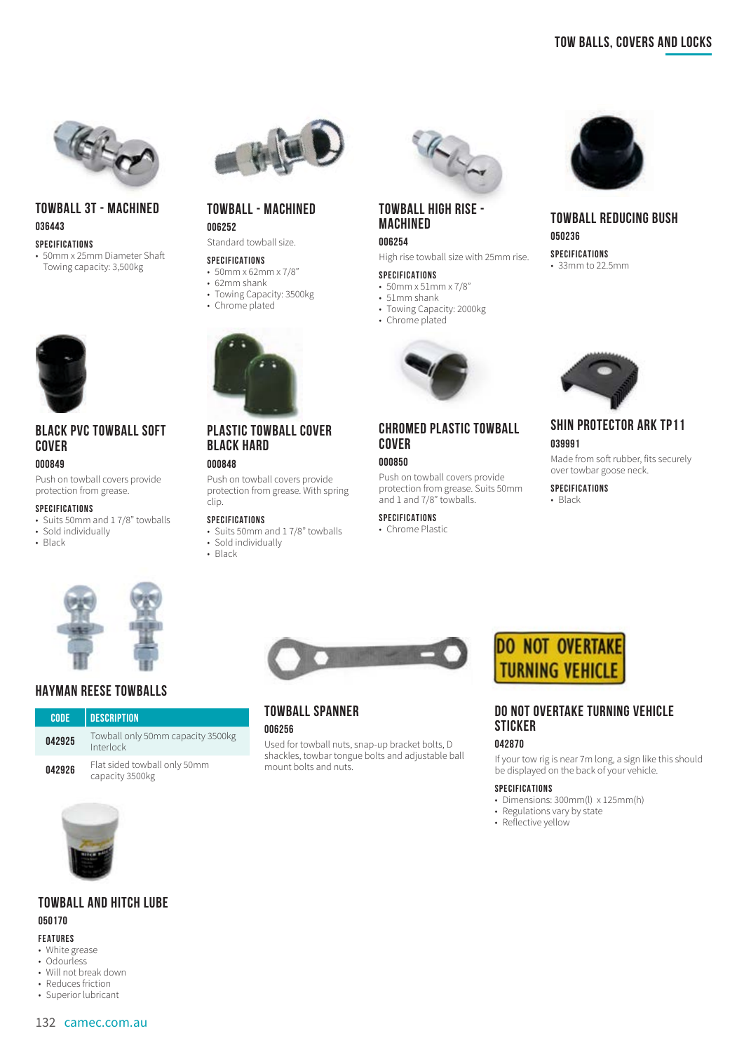

# **TOWBALL 3T - MACHINED 036443**

**SPECIFICATIONS**

• 50mm x 25mm Diameter Sha Towing capacity: 3,500kg



# **BLACK PVC TOWBALL SOFT COVER**

#### **000849**

Push on towball covers provide protection from grease.

#### **SPECIFICATIONS**

- Suits 50mm and 1 7/8" towballs
- Sold individually
- Black



# **HAYMAN REESE TOWBALLS**

| <b>CODE</b> | <b>DESCRIPTION</b>                              |
|-------------|-------------------------------------------------|
| 042925      | Towball only 50mm capacity 3500kg<br>Interlock  |
| 042926      | Flat sided towball only 50mm<br>capacity 3500kg |





#### **FEATURES**

- White grease
- Odourless
- Will not break down • Reduces friction
- Superior lubricant





#### **TOWBALL - MACHINED 006252**

Standard towball size.

#### **SPECIFICATIONS**

- 50mm x 62mm x 7/8"
- 62mm shank
- Towing Capacity: 3500kg
- Chrome plated



# **PLASTIC TOWBALL COVER BLACK HARD**

#### **000848**

Push on towball covers provide protection from grease. With spring clip.

#### **SPECIFICATIONS**

- Suits 50mm and 1 7/8" towballs • Sold individually
- Black



# **TOWBALL HIGH RISE - MACHINED**

# **006254**

High rise towball size with 25mm rise.

#### **SPECIFICATIONS**

- 50mm x 51mm x 7/8"
- 51mm shank
- Towing Capacity: 2000kg
- Chrome plated



# **CHROMED PLASTIC TOWBALL COVER**

#### **000850**

Push on towball covers provide protection from grease. Suits 50mm and 1 and 7/8" towballs.

#### **SPECIFICATIONS**

• Chrome Plastic



### **TOWBALL REDUCING BUSH 050236 SPECIFICATIONS**

• 33mm to 22.5mm



# **SHIN PROTECTOR ARK TP11 039991**

Made from soft rubber, fits securely over towbar goose neck.

**SPECIFICATIONS** • Black



# **TOWBALL SPANNER**

#### **006256**

Used for towball nuts, snap-up bracket bolts, D shackles, towbar tongue bolts and adjustable ball mount bolts and nuts.

# **DO NOT OVERTAKE TURNING VEHICLE**

# **DO NOT OVERTAKE TURNING VEHICLE STICKER**

#### **042870**

If your tow rig is near 7m long, a sign like this should be displayed on the back of your vehicle.

#### **SPECIFICATIONS**

- Dimensions: 300mm(l) x 125mm(h)
- Binderston, Carly by state
- Reflective yellow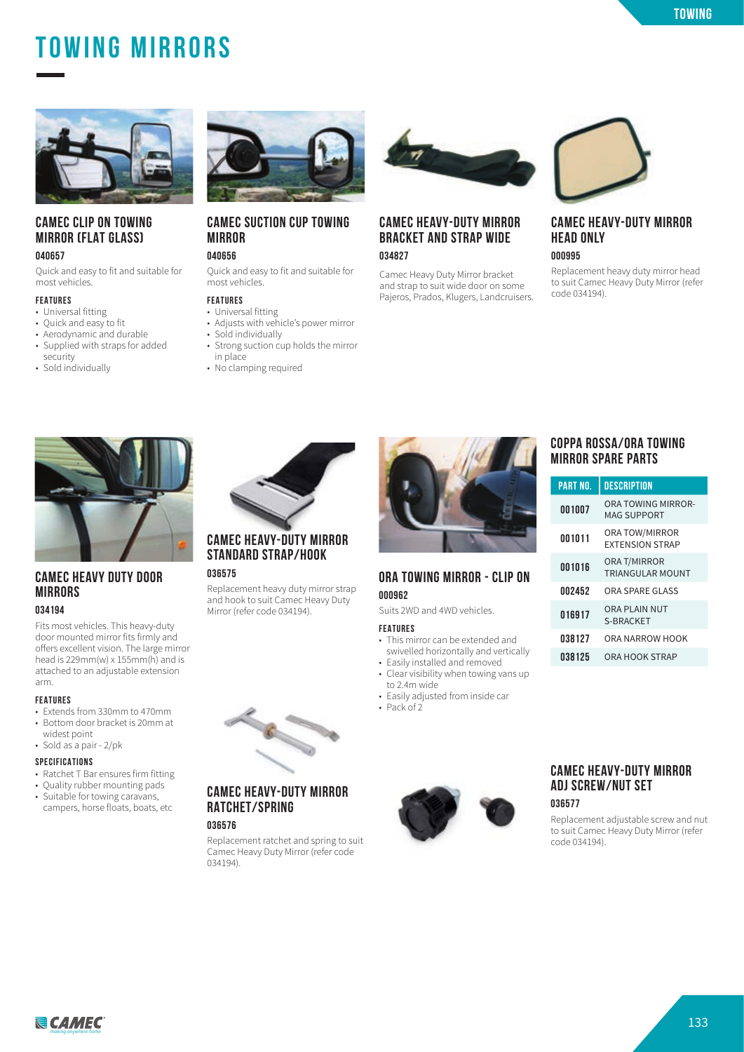# **Tow Balls, Covers and Locks Towing Mirrors**



#### **CAMEC CLIP ON TOWING MIRROR (FLAT GLASS) 040657**

Quick and easy to fit and suitable for most vehicles.

#### **FEATURES**

- Universal fitting
- Quick and easy to fit
- Aerodynamic and durable
- Supplied with straps for added
- security • Sold individually



#### **CAMEC SUCTION CUP TOWING MIRROR 040656**

Quick and easy to fit and suitable for most vehicles.

#### **FEATURES**

- Universal fitting
- Adjusts with vehicle's power mirror • Sold individually
- Strong suction cup holds the mirror
- in place • No clamping required



#### **CAMEC HEAVY-DUTY MIRROR BRACKET AND STRAP WIDE 034827**

Camec Heavy Duty Mirror bracket and strap to suit wide door on some Pajeros, Prados, Klugers, Landcruisers.



# **CAMEC HEAVY-DUTY MIRROR HEAD ONLY**

**000995**

Replacement heavy duty mirror head to suit Camec Heavy Duty Mirror (refer code 034194).



# **CAMEC HEAVY DUTY DOOR MIRRORS**

#### **034194**

Fits most vehicles. This heavy-duty door mounted mirror fits firmly and offers excellent vision. The large mirror head is  $229mm(w) \times 155mm(h)$  and is attached to an adjustable extension arm.

#### **FEATURES**

- Extends from 330mm to 470mm • Bottom door bracket is 20mm at
- widest point • Sold as a pair - 2/pk
- **SPECIFICATIONS**
- Ratchet T Bar ensures firm fitting
- Quality rubber mounting pads
- Suitable for towing caravans, campers, horse floats, boats, etc



# **STANDARD STRAP/HOOK**

#### **036575**

Replacement heavy duty mirror strap and hook to suit Camec Heavy Duty Mirror (refer code 034194).



# **CAMEC HEAVY-DUTY MIRROR RATCHET/SPRING**

**036576**

Replacement ratchet and spring to suit Camec Heavy Duty Mirror (refer code 034194).



#### **000962** Suits 2WD and 4WD vehicles.

**ORA TOWING MIRROR - CLIP ON**

#### **FEATURES**

- This mirror can be extended and swivelled horizontally and vertically
- Easily installed and removed • Clear visibility when towing vans up
- to 2.4m wide • Easily adjusted from inside car
- Pack of 2



### **COPPA ROSSA/ORA TOWING MIRROR SPARE PARTS**

| <b>PART NO.</b> | <b>DESCRIPTION</b>                       |
|-----------------|------------------------------------------|
| 001007          | ORA TOWING MIRROR-<br><b>MAG SUPPORT</b> |
| 001011          | ORA TOW/MIRROR<br><b>FXTENSION STRAP</b> |
| 001016          | ORA T/MIRROR<br><b>TRIANGULAR MOUNT</b>  |
| 002452          | ORA SPARE GLASS                          |
| 016917          | <b>ORA PLAIN NUT</b><br>S-BRACKET        |
| 038127          | ORA NARROW HOOK                          |
| 038125          | ORA HOOK STRAP                           |

# **CAMEC HEAVY-DUTY MIRROR ADJ SCREW/NUT SET**

**036577**

Replacement adjustable screw and nut to suit Camec Heavy Duty Mirror (refer code 034194).

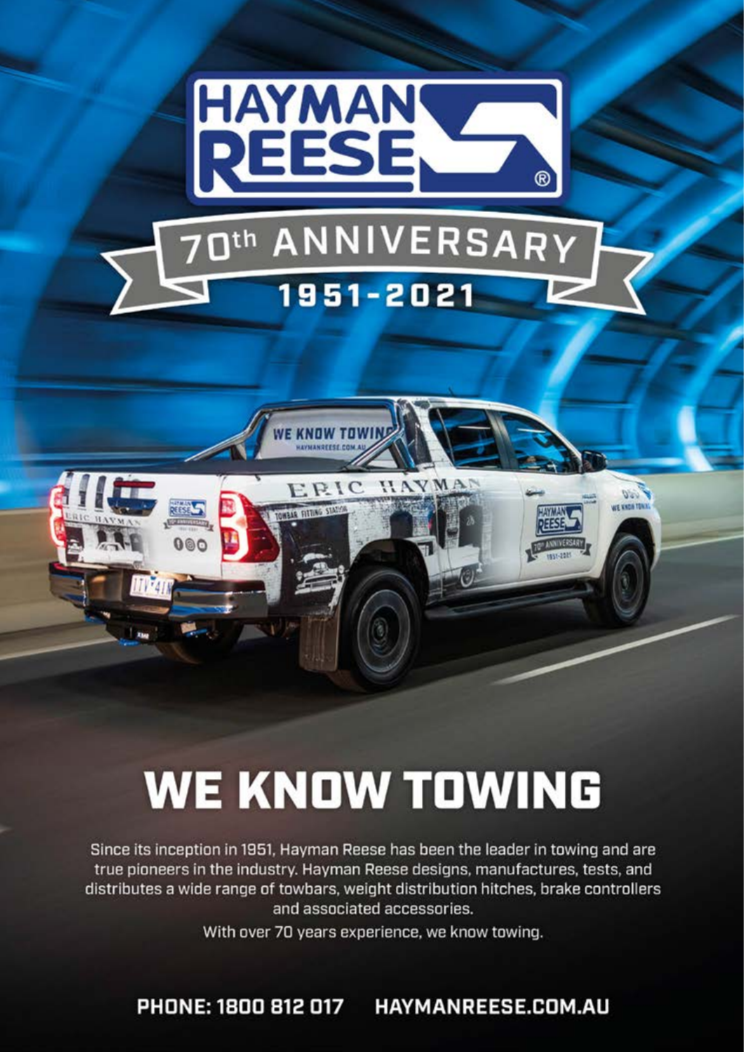

# **WE KNOW TOWING**

Since its inception in 1951, Hayman Reese has been the leader in towing and are true pioneers in the industry. Hayman Reese designs, manufactures, tests, and distributes a wide range of towbars, weight distribution hitches, brake controllers and associated accessories.

With over 70 years experience, we know towing.

PHONE: 1800 812 017 HAYMANREESE.COM.AU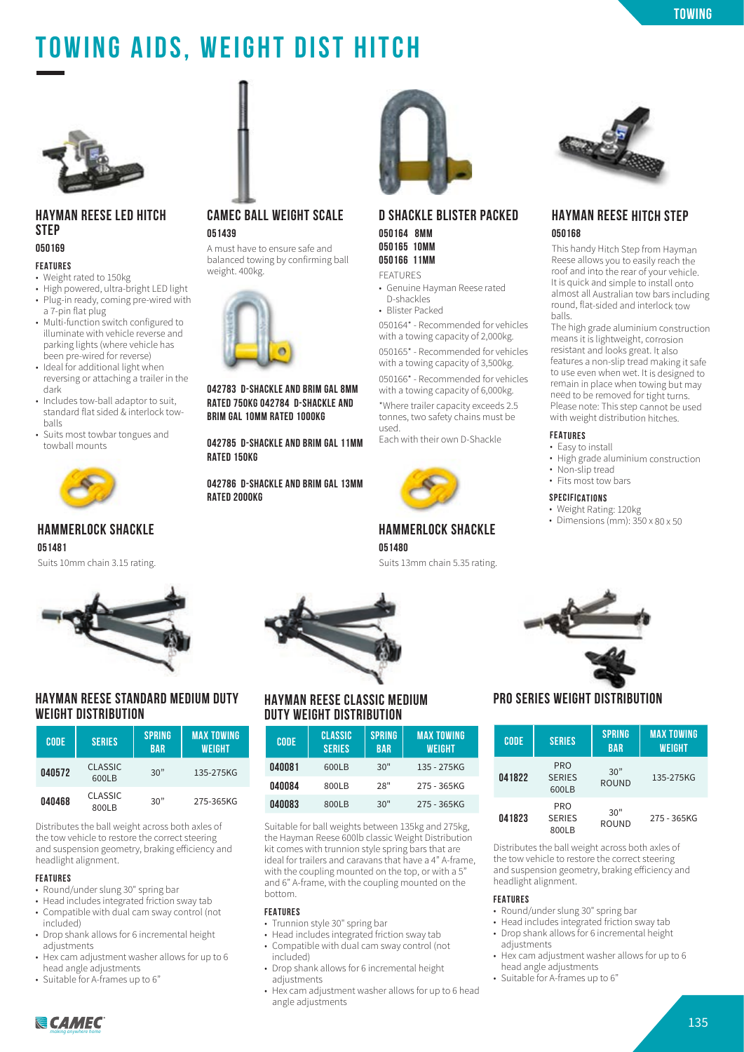# **towing**

# **Towing Aids, Weight Dist Hitch**



#### **HAYMAN REESE LED HITCH STEP 050169**

#### **FEATURES**

- Weight rated to 150kg
- High powered, ultra-bright LED light
- Plug-in ready, coming pre-wired with a 7-pin flat plug
- Multi-function switch configured to illuminate with vehicle reverse and parking lights (where vehicle has been pre-wired for reverse)
- Ideal for additional light when reversing or attaching a trailer in the dark
- Includes tow-ball adaptor to suit, standard flat sided & interlock towballs
- Suits most towbar tongues and towball mounts



# **HAMMERLOCK SHACKLE**

**051481**

Suits 10mm chain 3.15 rating.



### **HAYMAN REESE STANDARD MEDIUM DUTY WEIGHT DISTRIBUTION**

| <b>CODE</b> | <b>SERIES</b>           | <b>SPRING</b><br><b>BAR</b> | <b>MAX TOWING</b><br><b>WEIGHT</b> |
|-------------|-------------------------|-----------------------------|------------------------------------|
| 040572      | <b>CLASSIC</b><br>600LB | 30"                         | 135-275KG                          |
| 040468      | <b>CLASSIC</b><br>800LB | 30"                         | 275-365KG                          |

Distributes the ball weight across both axles of the tow vehicle to restore the correct steering and suspension geometry, braking efficiency and headlight alignment.

#### **FEATURES**

- Round/under slung 30" spring bar
- Head includes integrated friction sway tab
- Compatible with dual cam sway control (not included)
- Drop shank allows for 6 incremental height adjustments
- Hex cam adjustment washer allows for up to 6 head angle adjustments
- Suitable for A-frames up to 6"

# **CAMEC BALL WEIGHT SCALE 051439**

A must have to ensure safe and balanced towing by confirming ball weight. 400kg.



**042783 D-SHACKLE AND BRIM GAL 8MM RATED 750KG 042784 D-SHACKLE AND BRIM GAL 10MM RATED 1000KG**

**042785 D-SHACKLE AND BRIM GAL 11MM RATED 150KG**

**042786 D-SHACKLE AND BRIM GAL 13MM RATED 2000KG**



# **D SHACKLE BLISTER PACKED 050164 8MM**

**050165 10MM 050166 11MM** FEATURES

- Genuine Hayman Reese rated D-shackles
- Blister Packed

050164\* - Recommended for vehicles with a towing capacity of 2,000kg. 050165\* - Recommended for vehicles with a towing capacity of 3,500kg.

050166\* - Recommended for vehicles with a towing capacity of 6,000kg.

\*Where trailer capacity exceeds 2.5 tonnes, two safety chains must be used.

Each with their own D-Shackle



# **HAMMERLOCK SHACKLE 051480**

Suits 13mm chain 5.35 rating.



#### **HAYMAN REESE CLASSIC MEDIUM DUTY WEIGHT DISTRIBUTION**

| <b>CODE</b> | CLASSIC<br><b>SERIES</b> | <b>SPRING</b><br><b>BAR</b> | <b>MAX TOWING</b><br><b>WEIGHT</b> |
|-------------|--------------------------|-----------------------------|------------------------------------|
| 040081      | 600LB                    | 30"                         | 135 - 275KG                        |
| 040084      | 800LB                    | 28"                         | 275 - 365KG                        |
| 040083      | 800LB                    | 30"                         | 275 - 365KG                        |

Suitable for ball weights between 135kg and 275kg, the Hayman Reese 600lb classic Weight Distribution kit comes with trunnion style spring bars that are ideal for trailers and caravans that have a 4" A-frame, with the coupling mounted on the top, or with a 5" and 6" A-frame, with the coupling mounted on the bottom.

#### **FEATURES**

- Trunnion style 30" spring bar
- Head includes integrated friction sway tab • Compatible with dual cam sway control (not
- included) • Drop shank allows for 6 incremental height
- adjustments • Hex cam adjustment washer allows for up to 6 head angle adjustments



# **HAYMAN REESE HITCH STEP 050168**

This handy Hitch Step from Hayman Reese allows you to easily reach the roof and into the rear of your vehicle. It is quick and simple to install onto almost all Australian tow bars including round, flat-sided and interlock tow balls.

The high grade aluminium construction means it is lightweight, corrosion resistant and looks great. It also features a non-slip tread making it safe to use even when wet. It is designed to remain in place when towing but may need to be removed for tight turns. Please note: This step cannot be used with weight distribution hitches.

#### **FEATURES**

- Easy to install
- High grade aluminium constructior
- Non-slip treac
- Fits most tow bars

#### **SPECIFICATIONS**

- Weight Rating: 120kg
- Dimensions (mm): 350 x 80 x 50
- 



# **PRO SERIES WEIGHT DISTRIBUTION**

| <b>CODE</b> | <b>SERIES</b>                        | <b>SPRING</b><br><b>BAR</b> | <b>MAX TOWING</b><br><b>WEIGHT</b> |
|-------------|--------------------------------------|-----------------------------|------------------------------------|
| 041822      | <b>PRO</b><br><b>SERIES</b><br>600LB | 30"<br><b>ROUND</b>         | 135-275KG                          |
| 041823      | <b>PRO</b><br><b>SERIES</b><br>800LB | 30"<br><b>ROUND</b>         | 275 - 365KG                        |

Distributes the ball weight across both axles of the tow vehicle to restore the correct steering and suspension geometry, braking efficiency and headlight alignment.

#### **FEATURES**

- Round/under slung 30" spring bar
- Head includes integrated friction sway tab
- Drop shank allows for 6 incremental height adjustments
- Hex cam adjustment washer allows for up to 6 head angle adjustments
- Suitable for A-frames up to 6"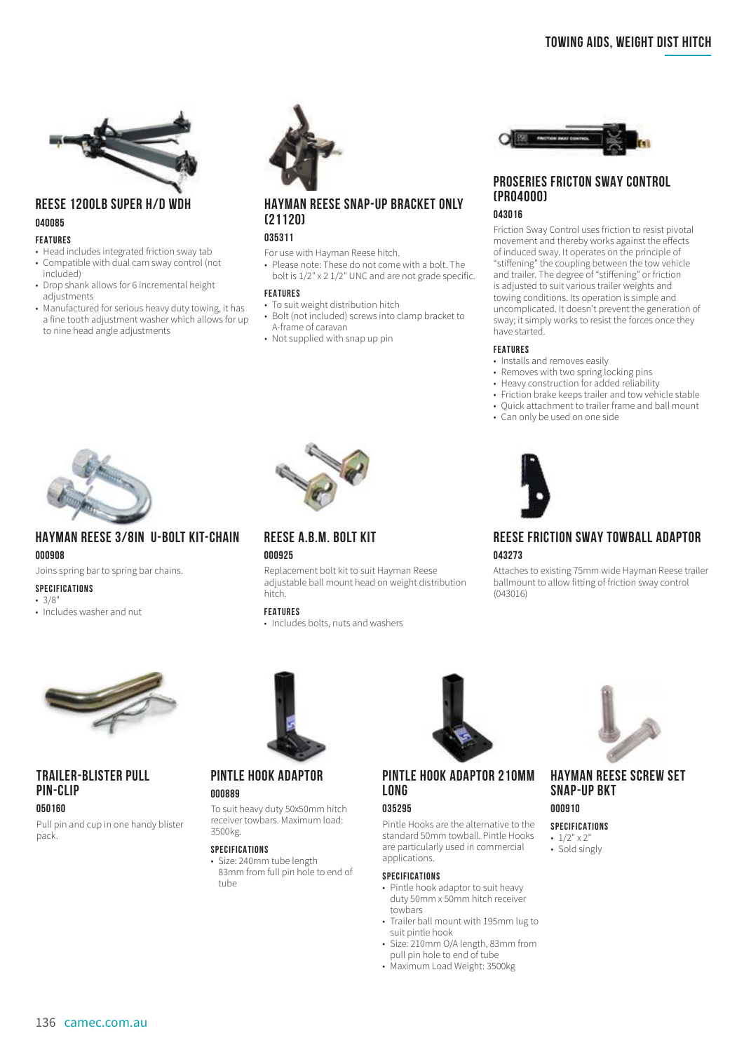

# **REESE 1200LB SUPER H/D WDH 040085**

#### **FEATURES**

- Head includes integrated friction sway tab<br>• Compatible with dual cam sway control (p • Compatible with dual cam sway control (not included)
- Drop shank allows for 6 incremental height adjustments
- Manufactured for serious heavy duty towing, it has a fine tooth adjustment washer which allows for up to nine head angle adjustments



# **HAYMAN REESE SNAP-UP BRACKET ONLY (21120)**

#### **035311**

For use with Hayman Reese hitch.

• Please note: These do not come with a bolt. The bolt is 1/2" x 2 1/2" UNC and are not grade specific.

#### **FEATURES**

- To suit weight distribution hitch
- Bolt (not included) screws into clamp bracket to A-frame of caravan
- Not supplied with snap up pin



#### **PROSERIES FRICTON SWAY CONTROL (PRO4000) 043016**

Friction Sway Control uses friction to resist pivotal movement and thereby works against the effects of induced sway. It operates on the principle of "stiffening" the coupling between the tow vehicle and trailer. The degree of "stiffening" or friction is adjusted to suit various trailer weights and towing conditions. Its operation is simple and uncomplicated. It doesn't prevent the generation of sway; it simply works to resist the forces once they have started.

#### **FEATURES**

- Installs and removes easily
- Removes with two spring locking pins
- Heavy construction for added reliability
- Friction brake keeps trailer and tow vehicle stable • Quick attachment to trailer frame and ball mount
- Can only be used on one side



# **REESE FRICTION SWAY TOWBALL ADAPTOR 043273**

Attaches to existing 75mm wide Hayman Reese trailer ballmount to allow fitting of friction sway control (043016)



# **HAYMAN REESE 3/8IN U-BOLT KIT-CHAIN 000908**

Joins spring bar to spring bar chains.

#### **SPECIFICATIONS**

 $• 3/8"$ 

• Includes washer and nut



#### **REESE A.B.M. BOLT KIT 000925**

Replacement bolt kit to suit Hayman Reese adjustable ball mount head on weight distribution hitch.

#### **FEATURES**

• Includes bolts, nuts and washers



### **TRAILER-BLISTER PULL PIN-CLIP**

#### **050160**

Pull pin and cup in one handy blister pack.



#### **PINTLE HOOK ADAPTOR 000889**

To suit heavy duty 50x50mm hitch receiver towbars. Maximum load: 3500kg.

#### **SPECIFICATIONS**

• Size: 240mm tube length 83mm from full pin hole to end of tube



### **PINTLE HOOK ADAPTOR 210MM LONG**

#### **035295**

Pintle Hooks are the alternative to the standard 50mm towball. Pintle Hooks are particularly used in commercial applications.

#### **SPECIFICATIONS**

- Pintle hook adaptor to suit heavy duty 50mm x 50mm hitch receiver towhars
- Trailer ball mount with 195mm lug to suit pintle hook
- Size: 210mm O/A length, 83mm from pull pin hole to end of tube
- Maximum Load Weight: 3500kg



# **HAYMAN REESE SCREW SET SNAP-UP BKT**

# **000910**

- **SPECIFICATIONS** •  $1/2$ "  $\times$  2"
- Sold singly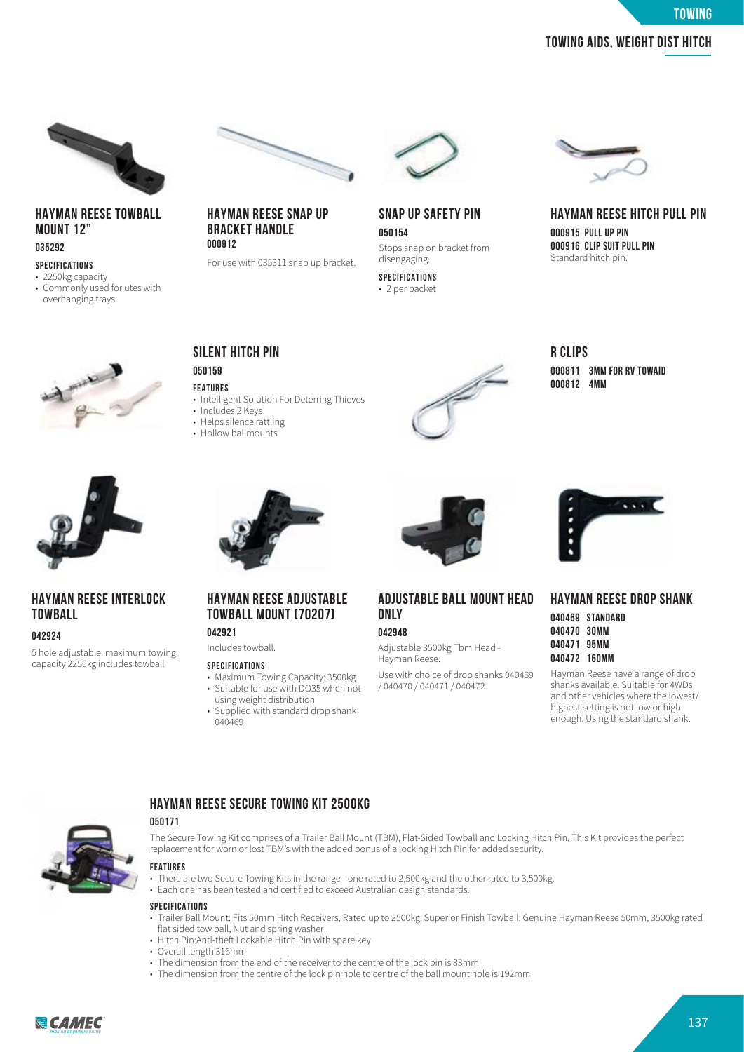**towing**

# **Towing Aids, Weight Dist Hitch Towing Aids, Weight Dist Hitch**



#### **HAYMAN REESE TOWBALL MOUNT 12" 035292**

#### **SPECIFICATIONS**

- 2250kg capacity
- Commonly used for utes with overhanging trays





#### **HAYMAN REESE SNAP UP BRACKET HANDLE 000912**

For use with 035311 snap up bracket.



#### **SNAP UP SAFETY PIN 050154** Stops snap on bracket from disengaging.

**SPECIFICATIONS** • 2 per packet



# **HAYMAN REESE HITCH PULL PIN**

**000915 PULL UP PIN 000916 CLIP SUIT PULL PIN** Standard hitch pin.





# **HAYMAN REESE INTERLOCK TOWBALL**

#### **042924**

5 hole adjustable. maximum towing capacity 2250kg includes towball



**SILENT HITCH PIN**

• Includes 2 Keys

**HAYMAN REESE ADJUSTABLE TOWBALL MOUNT (70207)**

• Maximum Towing Capacity: 3500kg • Suitable for use with DO35 when not using weight distribution • Supplied with standard drop shank

- Helps silence rattling
- Hollow ballmounts

**042921** Includes towball. **SPECIFICATIONS**

040469



**R CLIPS 000811 3MM FOR RV TOWAID 000812 4MM**



# **ADJUSTABLE BALL MOUNT HEAD ONLY**

**042948**

Adjustable 3500kg Tbm Head - Hayman Reese.

Use with choice of drop shanks 040469 / 040470 / 040471 / 040472



#### **HAYMAN REESE DROP SHANK**

|        | 040469 STANDARD |
|--------|-----------------|
| 040470 | 30MM            |
| 040471 | 95MM            |
| 040472 | 160MM           |

Hayman Reese have a range of drop shanks available. Suitable for 4WDs and other vehicles where the lowest/ highest setting is not low or high enough. Using the standard shank.



# replacement for worn or lost TBM's with the added bonus of a locking Hitch Pin for added security.

**050171**

**FEATURES**

- There are two Secure Towing Kits in the range one rated to 2,500kg and the other rated to 3,500kg.
- Each one has been tested and certified to exceed Australian design standards.

#### **SPECIFICATIONS**

• Trailer Ball Mount: Fits 50mm Hitch Receivers, Rated up to 2500kg, Superior Finish Towball: Genuine Hayman Reese 50mm, 3500kg rated flat sided tow ball, Nut and spring washer

The Secure Towing Kit comprises of a Trailer Ball Mount (TBM), Flat-Sided Towball and Locking Hitch Pin. This Kit provides the perfect

• Hitch Pin:Anti-theft Lockable Hitch Pin with spare key

**HAYMAN REESE SECURE TOWING KIT 2500KG**

- Overall length 316mm
- The dimension from the end of the receiver to the centre of the lock pin is 83mm
- The dimension from the centre of the lock pin hole to centre of the ball mount hole is 192mm

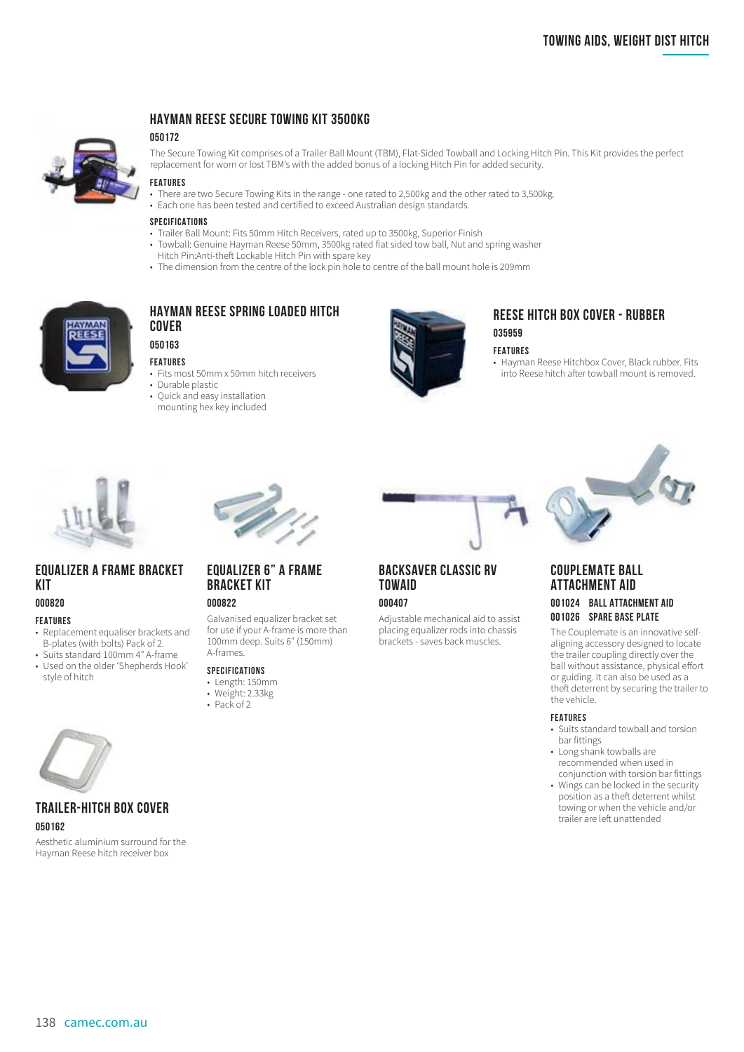

# **HAYMAN REESE SECURE TOWING KIT 3500KG**

#### **050172**

The Secure Towing Kit comprises of a Trailer Ball Mount (TBM), Flat-Sided Towball and Locking Hitch Pin. This Kit provides the perfect replacement for worn or lost TBM's with the added bonus of a locking Hitch Pin for added security.

#### **FEATURES**

- There are two Secure Towing Kits in the range one rated to 2,500kg and the other rated to 3,500kg.
- Each one has been tested and certified to exceed Australian design standards.

#### **SPECIFICATIONS**

- Trailer Ball Mount: Fits 50mm Hitch Receivers, rated up to 3500kg, Superior Finish
- Towball: Genuine Hayman Reese 50mm, 3500kg rated flat sided tow ball, Nut and spring washer Hitch Pin:Anti-theft Lockable Hitch Pin with spare key
- The dimension from the centre of the lock pin hole to centre of the ball mount hole is 209mm



# **HAYMAN REESE SPRING LOADED HITCH COVER 050163**

#### **FEATURES**

- Fits most 50mm x 50mm hitch receivers
- Durable plastic
- Quick and easy installation mounting hex key included



# **REESE HITCH BOX COVER - RUBBER 035959**

#### **FEATURES**

• Hayman Reese Hitchbox Cover, Black rubber. Fits into Reese hitch after towball mount is removed.



# **EQUALIZER A FRAME BRACKET KIT**

#### **000820**

#### **FEATURES**

- Replacement equaliser brackets and B-plates (with bolts) Pack of 2.
- Suits standard 100mm 4" A-frame • Used on the older 'Shepherds Hook' style of hitch



# **BRACKET KIT**

# **000822**

Galvanised equalizer bracket set for use if your A-frame is more than 100mm deep. Suits 6" (150mm) A-frames.

#### **SPECIFICATIONS**

- Length: 150mm
- Weight: 2.33kg
- Pack of 2

# **BACKSAVER CLASSIC RV TOWAID**

#### **000407**

Adjustable mechanical aid to assist placing equalizer rods into chassis brackets - saves back muscles.



### **COUPLEMATE BALL ATTACHMENT AID**

#### **001024 BALL ATTACHMENT AID 001026 SPARE BASE PLATE**

The Couplemate is an innovative selfaligning accessory designed to locate the trailer coupling directly over the ball without assistance, physical effort or guiding. It can also be used as a theft deterrent by securing the trailer to the vehicle.

#### **FEATURES**

- Suits standard towball and torsion bar fittings
- Long shank towballs are recommended when used in conjunction with torsion bar fittings
- Wings can be locked in the security position as a theft deterrent whilst towing or when the vehicle and/or trailer are left unattended



#### **TRAILER-HITCH BOX COVER 050162**

Aesthetic aluminium surround for the Hayman Reese hitch receiver box

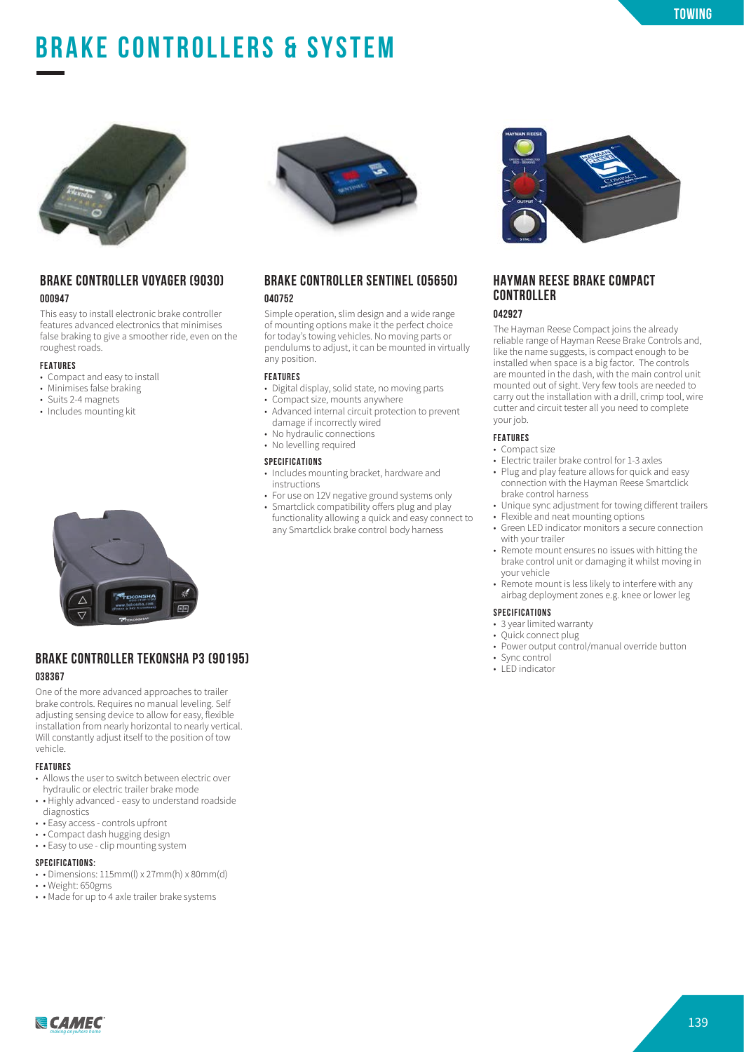# **BRAKE CONTROLLERS & SYSTEM**



### **BRAKE CONTROLLER VOYAGER (9030) 000947**

This easy to install electronic brake controller features advanced electronics that minimises false braking to give a smoother ride, even on the roughest roads.

#### **FEATURES**

- Compact and easy to install
- Minimises false braking
- Suits 2-4 magnets
- Includes mounting kit



### **BRAKE CONTROLLER TEKONSHA P3 (90195) 038367**

One of the more advanced approaches to trailer brake controls. Requires no manual leveling. Self adjusting sensing device to allow for easy, flexible installation from nearly horizontal to nearly vertical. Will constantly adjust itself to the position of tow vehicle.

#### **FEATURES**

- Allows the user to switch between electric over hydraulic or electric trailer brake mode
- • Highly advanced easy to understand roadside diagnostics
- • Easy access controls upfront
- • Compact dash hugging design
- • Easy to use clip mounting system

#### **SPECIFICATIONS:**

- • Dimensions: 115mm(l) x 27mm(h) x 80mm(d)
- • Weight: 650gms
- • Made for up to 4 axle trailer brake systems



#### **BRAKE CONTROLLER SENTINEL (05650) 040752**

Simple operation, slim design and a wide range of mounting options make it the perfect choice for today's towing vehicles. No moving parts or pendulums to adjust, it can be mounted in virtually any position.

#### **FEATURES**

- Digital display, solid state, no moving parts
- Compact size, mounts anywhere
- Advanced internal circuit protection to prevent damage if incorrectly wired
- No hydraulic connections
- No levelling required

#### **SPECIFICATIONS**

- Includes mounting bracket, hardware and instructions
- For use on 12V negative ground systems only
- Smartclick compatibility offers plug and play functionality allowing a quick and easy connect to any Smartclick brake control body harness

#### **HAYMAN REESE BRAKE COMPACT CONTROLLER**

#### **042927**

The Hayman Reese Compact joins the already reliable range of Hayman Reese Brake Controls and, like the name suggests, is compact enough to be installed when space is a big factor. The controls are mounted in the dash, with the main control unit mounted out of sight. Very few tools are needed to carry out the installation with a drill, crimp tool, wire cutter and circuit tester all you need to complete your job.

#### **FEATURES**

- Compact size
- Electric trailer brake control for 1-3 axles
- Plug and play feature allows for quick and easy connection with the Hayman Reese Smartclick brake control harness
- Unique sync adjustment for towing different trailers
- Flexible and neat mounting options
- Green LED indicator monitors a secure connection with your trailer
- Remote mount ensures no issues with hitting the brake control unit or damaging it whilst moving in your vehicle
- Remote mount is less likely to interfere with any airbag deployment zones e.g. knee or lower leg

#### **SPECIFICATIONS**

- 3 year limited warranty
- Quick connect plug
- Power output control/manual override button
- Sync control
- LED indicator

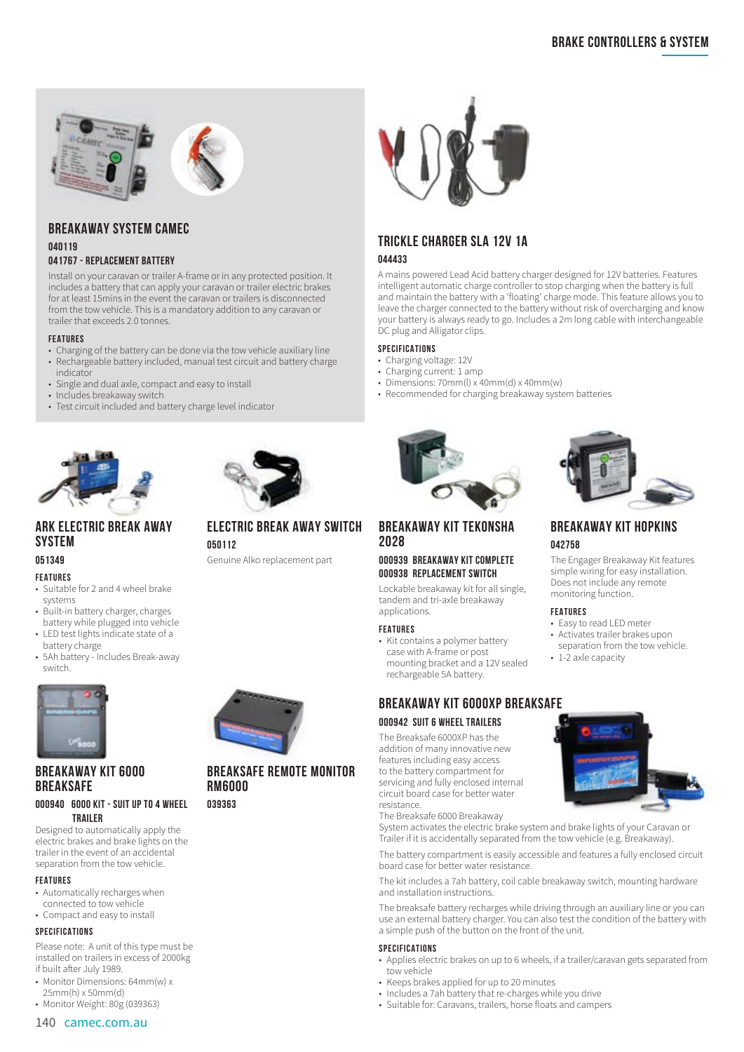

# **BREAKAWAY SYSTEM CAMEC**

#### **040119 041767 - REPLACEMENT BATTERY**

Install on your caravan or trailer A-frame or in any protected position. It includes a battery that can apply your caravan or trailer electric brakes for at least 15mins in the event the caravan or trailers is disconnected from the tow vehicle. This is a mandatory addition to any caravan or trailer that exceeds 2.0 tonnes.

#### **FEATURES**

- Charging of the battery can be done via the tow vehicle auxiliary line
- Rechargeable battery included, manual test circuit and battery charge indicator
- Single and dual axle, compact and easy to install
- Includes breakaway switch
- Test circuit included and battery charge level indicator





# **ARK ELECTRIC BREAK AWAY SYSTEM**

# **051349**

#### **FEATURES**

- Suitable for 2 and 4 wheel brake systems
- Built-in battery charger, charges battery while plugged into vehicle
- LED test lights indicate state of a battery charge
- 5Ah battery Includes Break-away switch.



# **BREAKAWAY KIT 6000 BREAKSAFE**

#### **000940 6000 KIT - SUIT UP TO 4 WHEEL TRAILER**

Designed to automatically apply the electric brakes and brake lights on the trailer in the event of an accidental separation from the tow vehicle.

#### **FEATURES**

- Automatically recharges when
- connected to tow vehicle
- Compact and easy to install

#### **SPECIFICATIONS**

Please note: A unit of this type must be installed on trailers in excess of 2000kg if built after July 1989.

- Monitor Dimensions: 64mm(w) x 25mm(h) x 50mm(d)
- Monitor Weight: 80g (039363)

#### 140 camec.com.au

# **ELECTRIC BREAK AWAY SWITCH 050112**

Genuine Alko replacement part



# **BREAKSAFE REMOTE MONITOR RM6000**

**039363** 



# **TRICKLE CHARGER SLA 12V 1A 044433**

A mains powered Lead Acid battery charger designed for 12V batteries. Features intelligent automatic charge controller to stop charging when the battery is full and maintain the battery with a 'floating' charge mode. This feature allows you to leave the charger connected to the battery without risk of overcharging and know your battery is always ready to go. Includes a 2m long cable with interchangeable DC plug and Alligator clips.

#### **SPECIFICATIONS**

- Charging voltage: 12V
- Charging current: 1 amp
- Dimensions:  $70mm(1) \times 40mm(2) \times 40mm(2)$
- Recommended for charging breakaway system batteries



# **BREAKAWAY KIT TEKONSHA 2028**

#### **000939 BREAKAWAY KIT COMPLETE 000938 REPLACEMENT SWITCH**

Lockable breakaway kit for all single, tandem and tri-axle breakaway applications.

#### **FEATURES**

• Kit contains a polymer battery case with A-frame or post mounting bracket and a 12V sealed rechargeable 5A battery.

# **BREAKAWAY KIT 6000XP BREAKSAFE**

#### **000942 SUIT 6 WHEEL TRAILERS**

The Breaksafe 6000XP has the addition of many innovative new features including easy access to the battery compartment for servicing and fully enclosed internal circuit board case for better water resistance.

The Breaksafe 6000 Breakaway

System activates the electric brake system and brake lights of your Caravan or Trailer if it is accidentally separated from the tow vehicle (e.g. Breakaway).

The battery compartment is easily accessible and features a fully enclosed circuit board case for better water resistance.

The kit includes a 7ah battery, coil cable breakaway switch, mounting hardware and installation instructions.

The breaksafe battery recharges while driving through an auxiliary line or you can use an external battery charger. You can also test the condition of the battery with a simple push of the button on the front of the unit.

#### **SPECIFICATIONS**

- Applies electric brakes on up to 6 wheels, if a trailer/caravan gets separated from tow vehicle
- Keeps brakes applied for up to 20 minutes
- Includes a 7ah battery that re-charges while you drive
- Suitable for: Caravans, trailers, horse floats and campers



### **BREAKAWAY KIT HOPKINS 042758**

The Engager Breakaway Kit features simple wiring for easy installation. Does not include any remote monitoring function.

#### **FEATURES**

- Easy to read LED meter
- Activates trailer brakes upon separation from the tow vehicle.
- 1-2 axle capacity